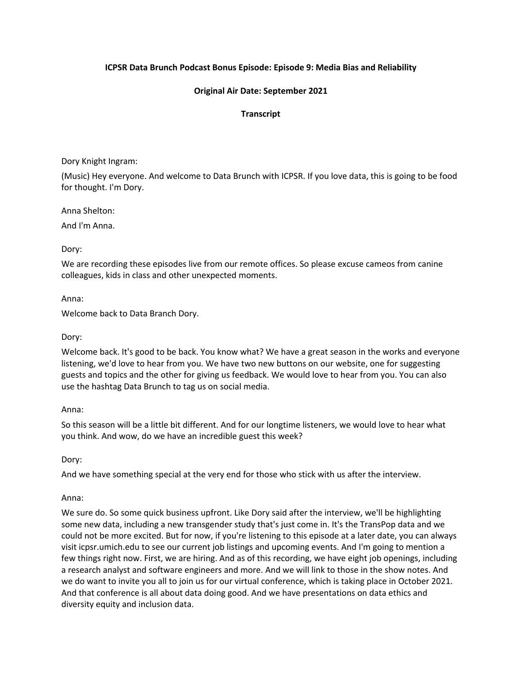# **ICPSR Data Brunch Podcast Bonus Episode: Episode 9: Media Bias and Reliability**

# **Original Air Date: September 2021**

# **Transcript**

Dory Knight Ingram:

(Music) Hey everyone. And welcome to Data Brunch with ICPSR. If you love data, this is going to be food for thought. I'm Dory.

Anna Shelton:

And I'm Anna.

Dory:

We are recording these episodes live from our remote offices. So please excuse cameos from canine colleagues, kids in class and other unexpected moments.

Anna:

Welcome back to Data Branch Dory.

Dory:

Welcome back. It's good to be back. You know what? We have a great season in the works and everyone listening, we'd love to hear from you. We have two new buttons on our website, one for suggesting guests and topics and the other for giving us feedback. We would love to hear from you. You can also use the hashtag Data Brunch to tag us on social media.

#### Anna:

So this season will be a little bit different. And for our longtime listeners, we would love to hear what you think. And wow, do we have an incredible guest this week?

Dory:

And we have something special at the very end for those who stick with us after the interview.

Anna:

We sure do. So some quick business upfront. Like Dory said after the interview, we'll be highlighting some new data, including a new transgender study that's just come in. It's the TransPop data and we could not be more excited. But for now, if you're listening to this episode at a later date, you can always visit icpsr.umich.edu to see our current job listings and upcoming events. And I'm going to mention a few things right now. First, we are hiring. And as of this recording, we have eight job openings, including a research analyst and software engineers and more. And we will link to those in the show notes. And we do want to invite you all to join us for our virtual conference, which is taking place in October 2021. And that conference is all about data doing good. And we have presentations on data ethics and diversity equity and inclusion data.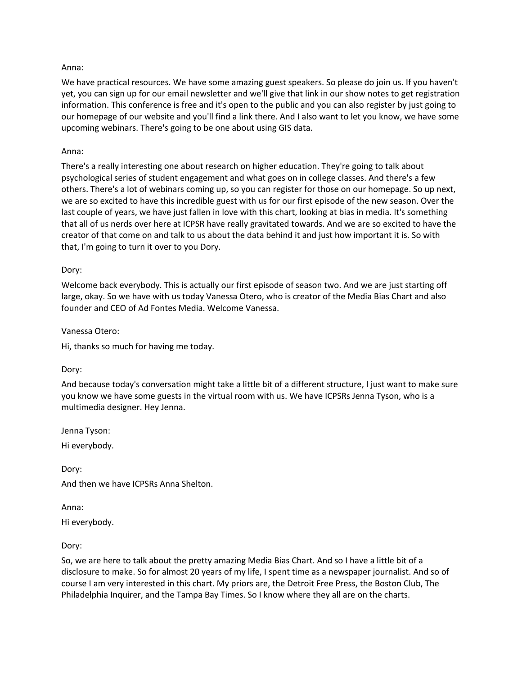### Anna:

We have practical resources. We have some amazing guest speakers. So please do join us. If you haven't yet, you can sign up for our email newsletter and we'll give that link in our show notes to get registration information. This conference is free and it's open to the public and you can also register by just going to our homepage of our website and you'll find a link there. And I also want to let you know, we have some upcoming webinars. There's going to be one about using GIS data.

### Anna:

There's a really interesting one about research on higher education. They're going to talk about psychological series of student engagement and what goes on in college classes. And there's a few others. There's a lot of webinars coming up, so you can register for those on our homepage. So up next, we are so excited to have this incredible guest with us for our first episode of the new season. Over the last couple of years, we have just fallen in love with this chart, looking at bias in media. It's something that all of us nerds over here at ICPSR have really gravitated towards. And we are so excited to have the creator of that come on and talk to us about the data behind it and just how important it is. So with that, I'm going to turn it over to you Dory.

### Dory:

Welcome back everybody. This is actually our first episode of season two. And we are just starting off large, okay. So we have with us today Vanessa Otero, who is creator of the Media Bias Chart and also founder and CEO of Ad Fontes Media. Welcome Vanessa.

#### Vanessa Otero:

Hi, thanks so much for having me today.

#### Dory:

And because today's conversation might take a little bit of a different structure, I just want to make sure you know we have some guests in the virtual room with us. We have ICPSRs Jenna Tyson, who is a multimedia designer. Hey Jenna.

Jenna Tyson:

Hi everybody.

Dory: And then we have ICPSRs Anna Shelton.

Anna: Hi everybody.

Dory:

So, we are here to talk about the pretty amazing Media Bias Chart. And so I have a little bit of a disclosure to make. So for almost 20 years of my life, I spent time as a newspaper journalist. And so of course I am very interested in this chart. My priors are, the Detroit Free Press, the Boston Club, The Philadelphia Inquirer, and the Tampa Bay Times. So I know where they all are on the charts.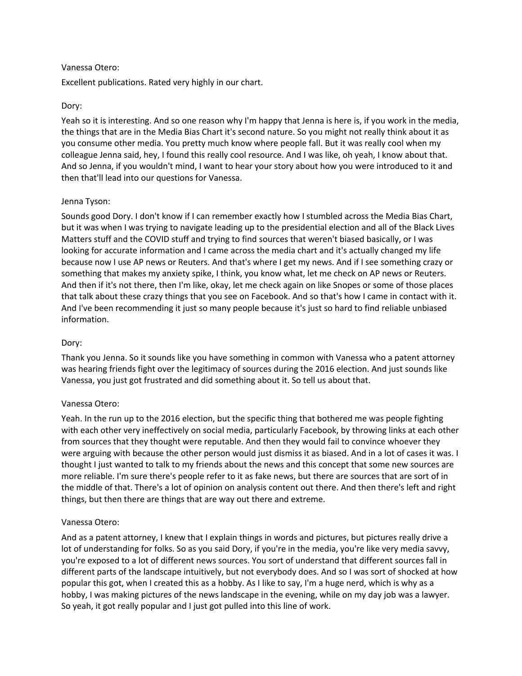## Vanessa Otero:

Excellent publications. Rated very highly in our chart.

# Dory:

Yeah so it is interesting. And so one reason why I'm happy that Jenna is here is, if you work in the media, the things that are in the Media Bias Chart it's second nature. So you might not really think about it as you consume other media. You pretty much know where people fall. But it was really cool when my colleague Jenna said, hey, I found this really cool resource. And I was like, oh yeah, I know about that. And so Jenna, if you wouldn't mind, I want to hear your story about how you were introduced to it and then that'll lead into our questions for Vanessa.

## Jenna Tyson:

Sounds good Dory. I don't know if I can remember exactly how I stumbled across the Media Bias Chart, but it was when I was trying to navigate leading up to the presidential election and all of the Black Lives Matters stuff and the COVID stuff and trying to find sources that weren't biased basically, or I was looking for accurate information and I came across the media chart and it's actually changed my life because now I use AP news or Reuters. And that's where I get my news. And if I see something crazy or something that makes my anxiety spike, I think, you know what, let me check on AP news or Reuters. And then if it's not there, then I'm like, okay, let me check again on like Snopes or some of those places that talk about these crazy things that you see on Facebook. And so that's how I came in contact with it. And I've been recommending it just so many people because it's just so hard to find reliable unbiased information.

# Dory:

Thank you Jenna. So it sounds like you have something in common with Vanessa who a patent attorney was hearing friends fight over the legitimacy of sources during the 2016 election. And just sounds like Vanessa, you just got frustrated and did something about it. So tell us about that.

## Vanessa Otero:

Yeah. In the run up to the 2016 election, but the specific thing that bothered me was people fighting with each other very ineffectively on social media, particularly Facebook, by throwing links at each other from sources that they thought were reputable. And then they would fail to convince whoever they were arguing with because the other person would just dismiss it as biased. And in a lot of cases it was. I thought I just wanted to talk to my friends about the news and this concept that some new sources are more reliable. I'm sure there's people refer to it as fake news, but there are sources that are sort of in the middle of that. There's a lot of opinion on analysis content out there. And then there's left and right things, but then there are things that are way out there and extreme.

## Vanessa Otero:

And as a patent attorney, I knew that I explain things in words and pictures, but pictures really drive a lot of understanding for folks. So as you said Dory, if you're in the media, you're like very media savvy, you're exposed to a lot of different news sources. You sort of understand that different sources fall in different parts of the landscape intuitively, but not everybody does. And so I was sort of shocked at how popular this got, when I created this as a hobby. As I like to say, I'm a huge nerd, which is why as a hobby, I was making pictures of the news landscape in the evening, while on my day job was a lawyer. So yeah, it got really popular and I just got pulled into this line of work.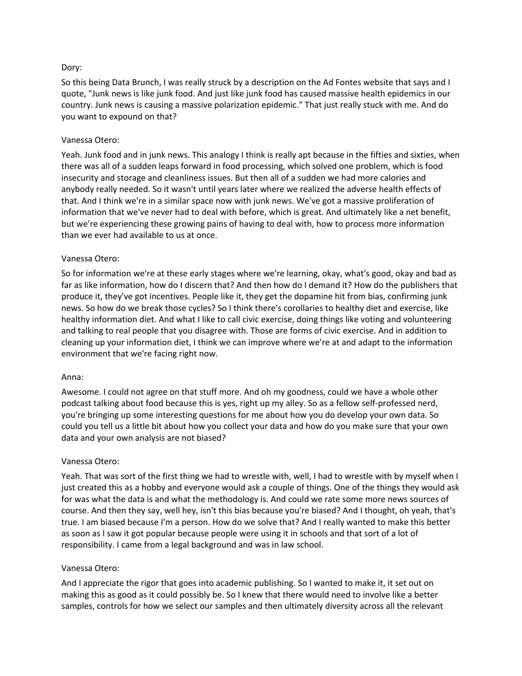# Dory:

So this being Data Brunch, I was really struck by a description on the Ad Fontes website that says and I quote, "Junk news is like junk food. And just like junk food has caused massive health epidemics in our country. Junk news is causing a massive polarization epidemic." That just really stuck with me. And do you want to expound on that?

## Vanessa Otero:

Yeah. Junk food and in junk news. This analogy I think is really apt because in the fifties and sixties, when there was all of a sudden leaps forward in food processing, which solved one problem, which is food insecurity and storage and cleanliness issues. But then all of a sudden we had more calories and anybody really needed. So it wasn't until years later where we realized the adverse health effects of that. And I think we're in a similar space now with junk news. We've got a massive proliferation of information that we've never had to deal with before, which is great. And ultimately like a net benefit, but we're experiencing these growing pains of having to deal with, how to process more information than we ever had available to us at once.

## Vanessa Otero:

So for information we're at these early stages where we're learning, okay, what's good, okay and bad as far as like information, how do I discern that? And then how do I demand it? How do the publishers that produce it, they've got incentives. People like it, they get the dopamine hit from bias, confirming junk news. So how do we break those cycles? So I think there's corollaries to healthy diet and exercise, like healthy information diet. And what I like to call civic exercise, doing things like voting and volunteering and talking to real people that you disagree with. Those are forms of civic exercise. And in addition to cleaning up your information diet, I think we can improve where we're at and adapt to the information environment that we're facing right now.

## Anna:

Awesome. I could not agree on that stuff more. And oh my goodness, could we have a whole other podcast talking about food because this is yes, right up my alley. So as a fellow self-professed nerd, you're bringing up some interesting questions for me about how you do develop your own data. So could you tell us a little bit about how you collect your data and how do you make sure that your own data and your own analysis are not biased?

## Vanessa Otero:

Yeah. That was sort of the first thing we had to wrestle with, well, I had to wrestle with by myself when I just created this as a hobby and everyone would ask a couple of things. One of the things they would ask for was what the data is and what the methodology is. And could we rate some more news sources of course. And then they say, well hey, isn't this bias because you're biased? And I thought, oh yeah, that's true. I am biased because I'm a person. How do we solve that? And I really wanted to make this better as soon as I saw it got popular because people were using it in schools and that sort of a lot of responsibility. I came from a legal background and was in law school.

## Vanessa Otero:

And I appreciate the rigor that goes into academic publishing. So I wanted to make it, it set out on making this as good as it could possibly be. So I knew that there would need to involve like a better samples, controls for how we select our samples and then ultimately diversity across all the relevant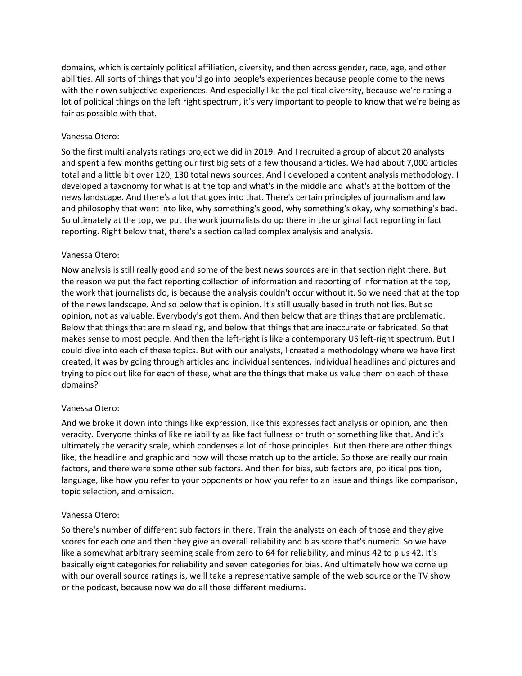domains, which is certainly political affiliation, diversity, and then across gender, race, age, and other abilities. All sorts of things that you'd go into people's experiences because people come to the news with their own subjective experiences. And especially like the political diversity, because we're rating a lot of political things on the left right spectrum, it's very important to people to know that we're being as fair as possible with that.

# Vanessa Otero:

So the first multi analysts ratings project we did in 2019. And I recruited a group of about 20 analysts and spent a few months getting our first big sets of a few thousand articles. We had about 7,000 articles total and a little bit over 120, 130 total news sources. And I developed a content analysis methodology. I developed a taxonomy for what is at the top and what's in the middle and what's at the bottom of the news landscape. And there's a lot that goes into that. There's certain principles of journalism and law and philosophy that went into like, why something's good, why something's okay, why something's bad. So ultimately at the top, we put the work journalists do up there in the original fact reporting in fact reporting. Right below that, there's a section called complex analysis and analysis.

# Vanessa Otero:

Now analysis is still really good and some of the best news sources are in that section right there. But the reason we put the fact reporting collection of information and reporting of information at the top, the work that journalists do, is because the analysis couldn't occur without it. So we need that at the top of the news landscape. And so below that is opinion. It's still usually based in truth not lies. But so opinion, not as valuable. Everybody's got them. And then below that are things that are problematic. Below that things that are misleading, and below that things that are inaccurate or fabricated. So that makes sense to most people. And then the left-right is like a contemporary US left-right spectrum. But I could dive into each of these topics. But with our analysts, I created a methodology where we have first created, it was by going through articles and individual sentences, individual headlines and pictures and trying to pick out like for each of these, what are the things that make us value them on each of these domains?

## Vanessa Otero:

And we broke it down into things like expression, like this expresses fact analysis or opinion, and then veracity. Everyone thinks of like reliability as like fact fullness or truth or something like that. And it's ultimately the veracity scale, which condenses a lot of those principles. But then there are other things like, the headline and graphic and how will those match up to the article. So those are really our main factors, and there were some other sub factors. And then for bias, sub factors are, political position, language, like how you refer to your opponents or how you refer to an issue and things like comparison, topic selection, and omission.

## Vanessa Otero:

So there's number of different sub factors in there. Train the analysts on each of those and they give scores for each one and then they give an overall reliability and bias score that's numeric. So we have like a somewhat arbitrary seeming scale from zero to 64 for reliability, and minus 42 to plus 42. It's basically eight categories for reliability and seven categories for bias. And ultimately how we come up with our overall source ratings is, we'll take a representative sample of the web source or the TV show or the podcast, because now we do all those different mediums.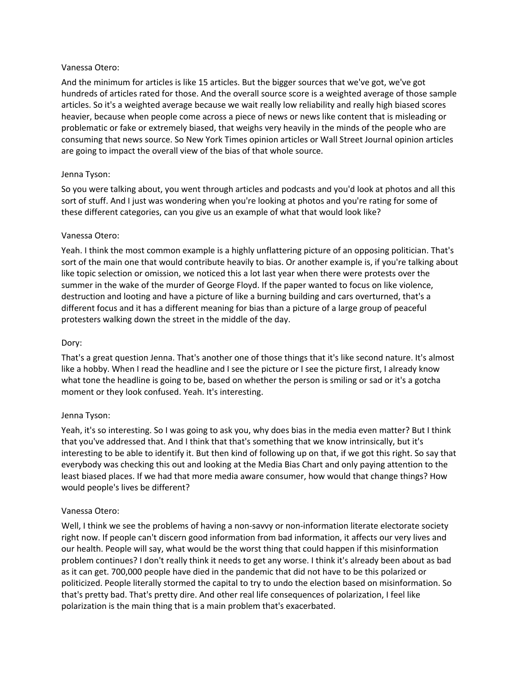### Vanessa Otero:

And the minimum for articles is like 15 articles. But the bigger sources that we've got, we've got hundreds of articles rated for those. And the overall source score is a weighted average of those sample articles. So it's a weighted average because we wait really low reliability and really high biased scores heavier, because when people come across a piece of news or news like content that is misleading or problematic or fake or extremely biased, that weighs very heavily in the minds of the people who are consuming that news source. So New York Times opinion articles or Wall Street Journal opinion articles are going to impact the overall view of the bias of that whole source.

## Jenna Tyson:

So you were talking about, you went through articles and podcasts and you'd look at photos and all this sort of stuff. And I just was wondering when you're looking at photos and you're rating for some of these different categories, can you give us an example of what that would look like?

### Vanessa Otero:

Yeah. I think the most common example is a highly unflattering picture of an opposing politician. That's sort of the main one that would contribute heavily to bias. Or another example is, if you're talking about like topic selection or omission, we noticed this a lot last year when there were protests over the summer in the wake of the murder of George Floyd. If the paper wanted to focus on like violence, destruction and looting and have a picture of like a burning building and cars overturned, that's a different focus and it has a different meaning for bias than a picture of a large group of peaceful protesters walking down the street in the middle of the day.

### Dory:

That's a great question Jenna. That's another one of those things that it's like second nature. It's almost like a hobby. When I read the headline and I see the picture or I see the picture first, I already know what tone the headline is going to be, based on whether the person is smiling or sad or it's a gotcha moment or they look confused. Yeah. It's interesting.

#### Jenna Tyson:

Yeah, it's so interesting. So I was going to ask you, why does bias in the media even matter? But I think that you've addressed that. And I think that that's something that we know intrinsically, but it's interesting to be able to identify it. But then kind of following up on that, if we got this right. So say that everybody was checking this out and looking at the Media Bias Chart and only paying attention to the least biased places. If we had that more media aware consumer, how would that change things? How would people's lives be different?

#### Vanessa Otero:

Well, I think we see the problems of having a non-savvy or non-information literate electorate society right now. If people can't discern good information from bad information, it affects our very lives and our health. People will say, what would be the worst thing that could happen if this misinformation problem continues? I don't really think it needs to get any worse. I think it's already been about as bad as it can get. 700,000 people have died in the pandemic that did not have to be this polarized or politicized. People literally stormed the capital to try to undo the election based on misinformation. So that's pretty bad. That's pretty dire. And other real life consequences of polarization, I feel like polarization is the main thing that is a main problem that's exacerbated.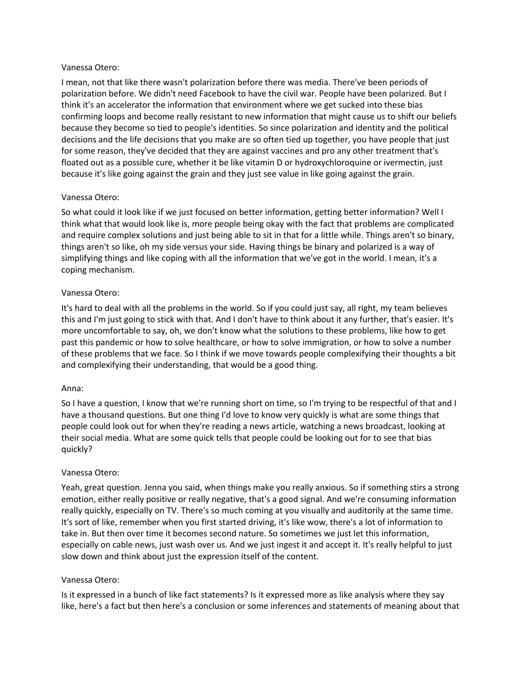### Vanessa Otero:

I mean, not that like there wasn't polarization before there was media. There've been periods of polarization before. We didn't need Facebook to have the civil war. People have been polarized. But I think it's an accelerator the information that environment where we get sucked into these bias confirming loops and become really resistant to new information that might cause us to shift our beliefs because they become so tied to people's identities. So since polarization and identity and the political decisions and the life decisions that you make are so often tied up together, you have people that just for some reason, they've decided that they are against vaccines and pro any other treatment that's floated out as a possible cure, whether it be like vitamin D or hydroxychloroquine or ivermectin, just because it's like going against the grain and they just see value in like going against the grain.

## Vanessa Otero:

So what could it look like if we just focused on better information, getting better information? Well I think what that would look like is, more people being okay with the fact that problems are complicated and require complex solutions and just being able to sit in that for a little while. Things aren't so binary, things aren't so like, oh my side versus your side. Having things be binary and polarized is a way of simplifying things and like coping with all the information that we've got in the world. I mean, it's a coping mechanism.

## Vanessa Otero:

It's hard to deal with all the problems in the world. So if you could just say, all right, my team believes this and I'm just going to stick with that. And I don't have to think about it any further, that's easier. It's more uncomfortable to say, oh, we don't know what the solutions to these problems, like how to get past this pandemic or how to solve healthcare, or how to solve immigration, or how to solve a number of these problems that we face. So I think if we move towards people complexifying their thoughts a bit and complexifying their understanding, that would be a good thing.

## Anna:

So I have a question, I know that we're running short on time, so I'm trying to be respectful of that and I have a thousand questions. But one thing I'd love to know very quickly is what are some things that people could look out for when they're reading a news article, watching a news broadcast, looking at their social media. What are some quick tells that people could be looking out for to see that bias quickly?

## Vanessa Otero:

Yeah, great question. Jenna you said, when things make you really anxious. So if something stirs a strong emotion, either really positive or really negative, that's a good signal. And we're consuming information really quickly, especially on TV. There's so much coming at you visually and auditorily at the same time. It's sort of like, remember when you first started driving, it's like wow, there's a lot of information to take in. But then over time it becomes second nature. So sometimes we just let this information, especially on cable news, just wash over us. And we just ingest it and accept it. It's really helpful to just slow down and think about just the expression itself of the content.

## Vanessa Otero:

Is it expressed in a bunch of like fact statements? Is it expressed more as like analysis where they say like, here's a fact but then here's a conclusion or some inferences and statements of meaning about that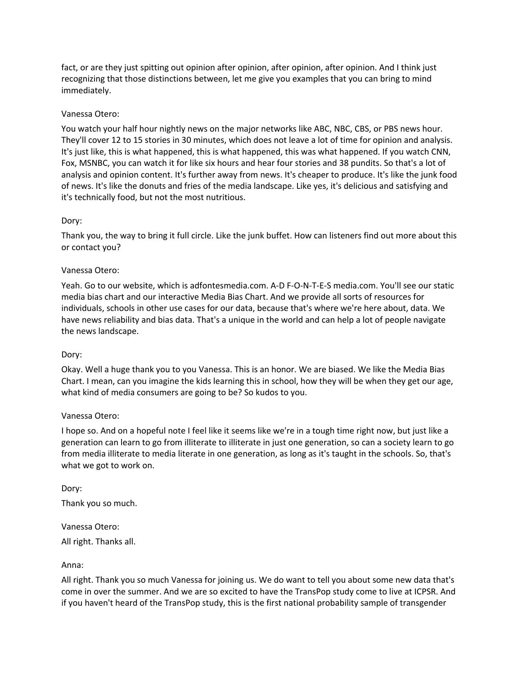fact, or are they just spitting out opinion after opinion, after opinion, after opinion. And I think just recognizing that those distinctions between, let me give you examples that you can bring to mind immediately.

# Vanessa Otero:

You watch your half hour nightly news on the major networks like ABC, NBC, CBS, or PBS news hour. They'll cover 12 to 15 stories in 30 minutes, which does not leave a lot of time for opinion and analysis. It's just like, this is what happened, this is what happened, this was what happened. If you watch CNN, Fox, MSNBC, you can watch it for like six hours and hear four stories and 38 pundits. So that's a lot of analysis and opinion content. It's further away from news. It's cheaper to produce. It's like the junk food of news. It's like the donuts and fries of the media landscape. Like yes, it's delicious and satisfying and it's technically food, but not the most nutritious.

## Dory:

Thank you, the way to bring it full circle. Like the junk buffet. How can listeners find out more about this or contact you?

## Vanessa Otero:

Yeah. Go to our website, which is adfontesmedia.com. A-D F-O-N-T-E-S media.com. You'll see our static media bias chart and our interactive Media Bias Chart. And we provide all sorts of resources for individuals, schools in other use cases for our data, because that's where we're here about, data. We have news reliability and bias data. That's a unique in the world and can help a lot of people navigate the news landscape.

## Dory:

Okay. Well a huge thank you to you Vanessa. This is an honor. We are biased. We like the Media Bias Chart. I mean, can you imagine the kids learning this in school, how they will be when they get our age, what kind of media consumers are going to be? So kudos to you.

## Vanessa Otero:

I hope so. And on a hopeful note I feel like it seems like we're in a tough time right now, but just like a generation can learn to go from illiterate to illiterate in just one generation, so can a society learn to go from media illiterate to media literate in one generation, as long as it's taught in the schools. So, that's what we got to work on.

Dory: Thank you so much.

Vanessa Otero: All right. Thanks all.

## Anna:

All right. Thank you so much Vanessa for joining us. We do want to tell you about some new data that's come in over the summer. And we are so excited to have the TransPop study come to live at ICPSR. And if you haven't heard of the TransPop study, this is the first national probability sample of transgender